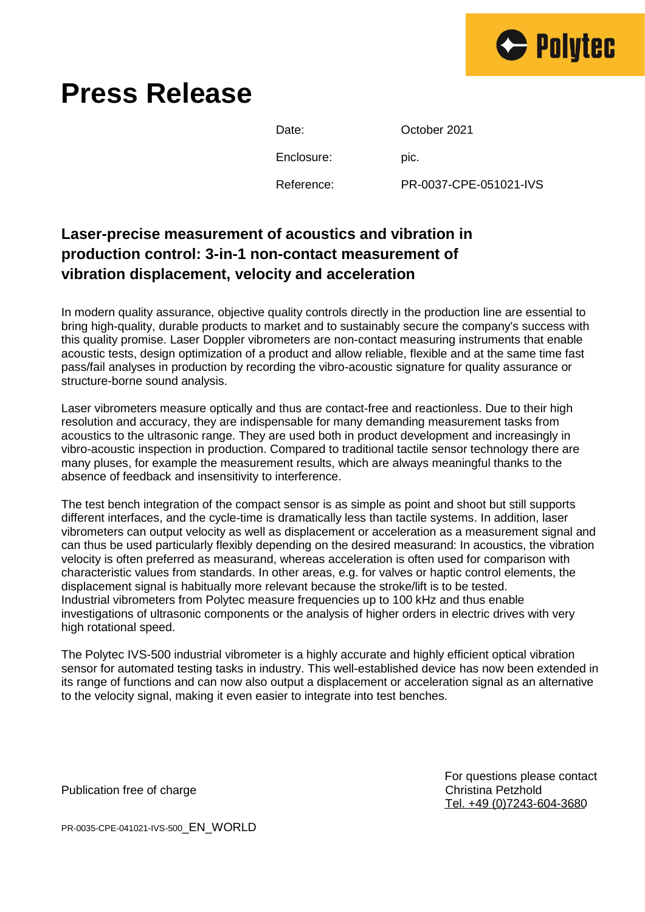

## **Press Release**

Date: **October 2021** Enclosure: pic. Reference: PR-0037-CPE-051021-IVS

## **Laser-precise measurement of acoustics and vibration in production control: 3-in-1 non-contact measurement of vibration displacement, velocity and acceleration**

In modern quality assurance, objective quality controls directly in the production line are essential to bring high-quality, durable products to market and to sustainably secure the company's success with this quality promise. Laser Doppler vibrometers are non-contact measuring instruments that enable acoustic tests, design optimization of a product and allow reliable, flexible and at the same time fast pass/fail analyses in production by recording the vibro-acoustic signature for quality assurance or structure-borne sound analysis.

Laser vibrometers measure optically and thus are contact-free and reactionless. Due to their high resolution and accuracy, they are indispensable for many demanding measurement tasks from acoustics to the ultrasonic range. They are used both in product development and increasingly in vibro-acoustic inspection in production. Compared to traditional tactile sensor technology there are many pluses, for example the measurement results, which are always meaningful thanks to the absence of feedback and insensitivity to interference.

The test bench integration of the compact sensor is as simple as point and shoot but still supports different interfaces, and the cycle-time is dramatically less than tactile systems. In addition, laser vibrometers can output velocity as well as displacement or acceleration as a measurement signal and can thus be used particularly flexibly depending on the desired measurand: In acoustics, the vibration velocity is often preferred as measurand, whereas acceleration is often used for comparison with characteristic values from standards. In other areas, e.g. for valves or haptic control elements, the displacement signal is habitually more relevant because the stroke/lift is to be tested. Industrial vibrometers from Polytec measure frequencies up to 100 kHz and thus enable investigations of ultrasonic components or the analysis of higher orders in electric drives with very high rotational speed.

The Polytec IVS-500 industrial vibrometer is a highly accurate and highly efficient optical vibration sensor for automated testing tasks in industry. This well-established device has now been extended in its range of functions and can now also output a displacement or acceleration signal as an alternative to the velocity signal, making it even easier to integrate into test benches.

> For questions please contact Tel. +49 (0)7243-604-3680

Publication free of charge Christian Petzhold Christina Petzhold

PR-0035-CPE-041021-IVS-500\_EN\_WORLD